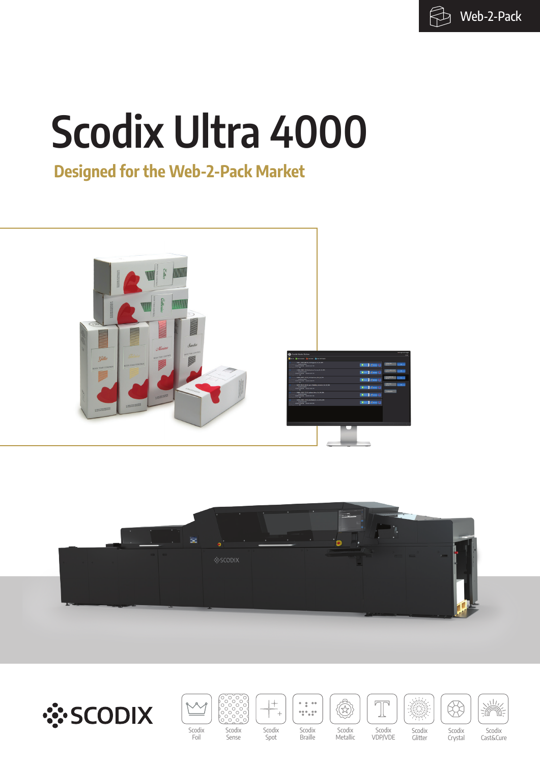$\bigoplus$  Web-2-Pack

# **Scodix Ultra 4000**

## **Designed for the Web-2-Pack Market**